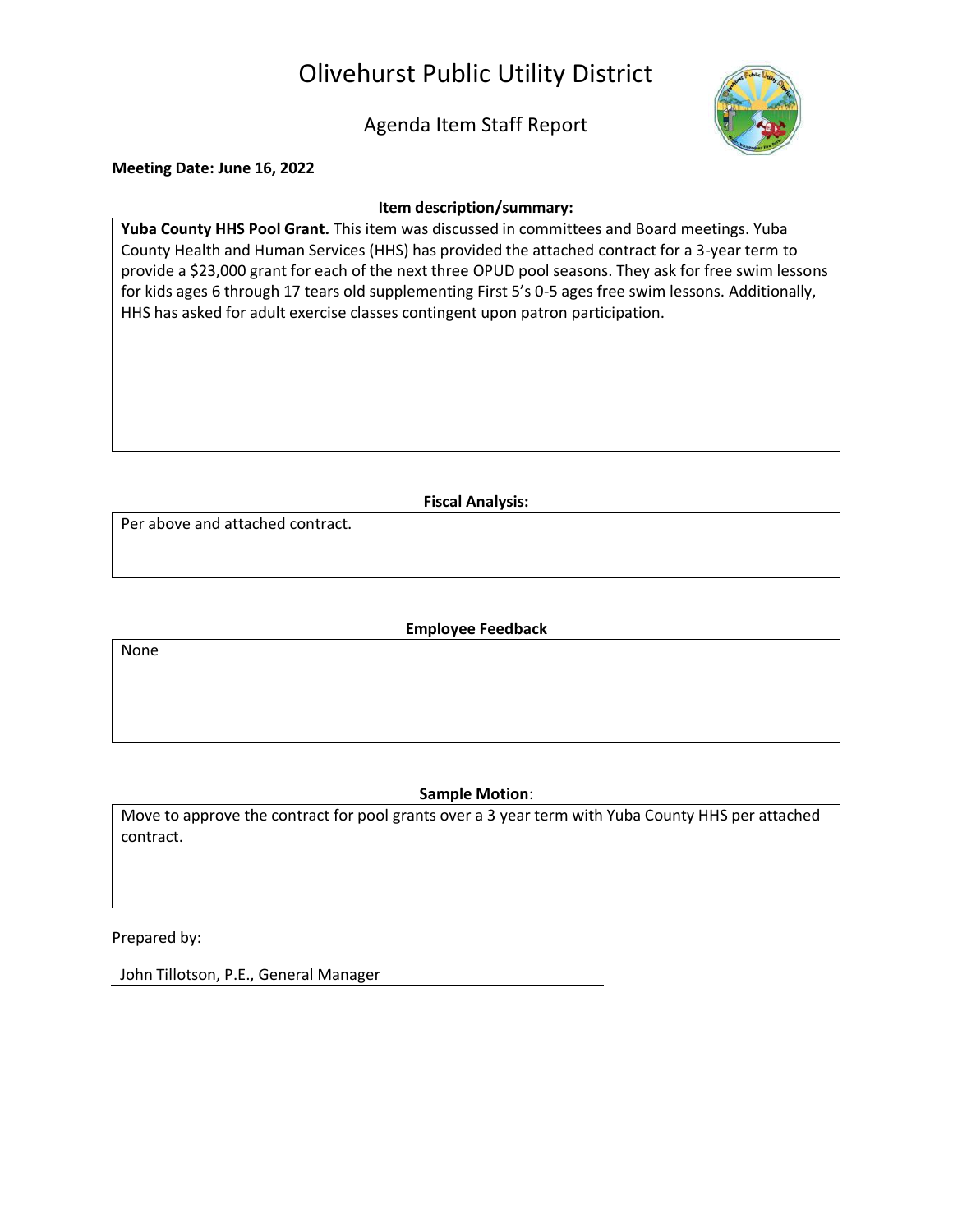# Olivehurst Public Utility District

Agenda Item Staff Report



**Meeting Date: June 16, 2022**

#### **Item description/summary:**

**Yuba County HHS Pool Grant.** This item was discussed in committees and Board meetings. Yuba County Health and Human Services (HHS) has provided the attached contract for a 3-year term to provide a \$23,000 grant for each of the next three OPUD pool seasons. They ask for free swim lessons for kids ages 6 through 17 tears old supplementing First 5's 0-5 ages free swim lessons. Additionally, HHS has asked for adult exercise classes contingent upon patron participation.

**Fiscal Analysis:**

Per above and attached contract.

**Employee Feedback**

None

#### **Sample Motion**:

Move to approve the contract for pool grants over a 3 year term with Yuba County HHS per attached contract.

Prepared by:

John Tillotson, P.E., General Manager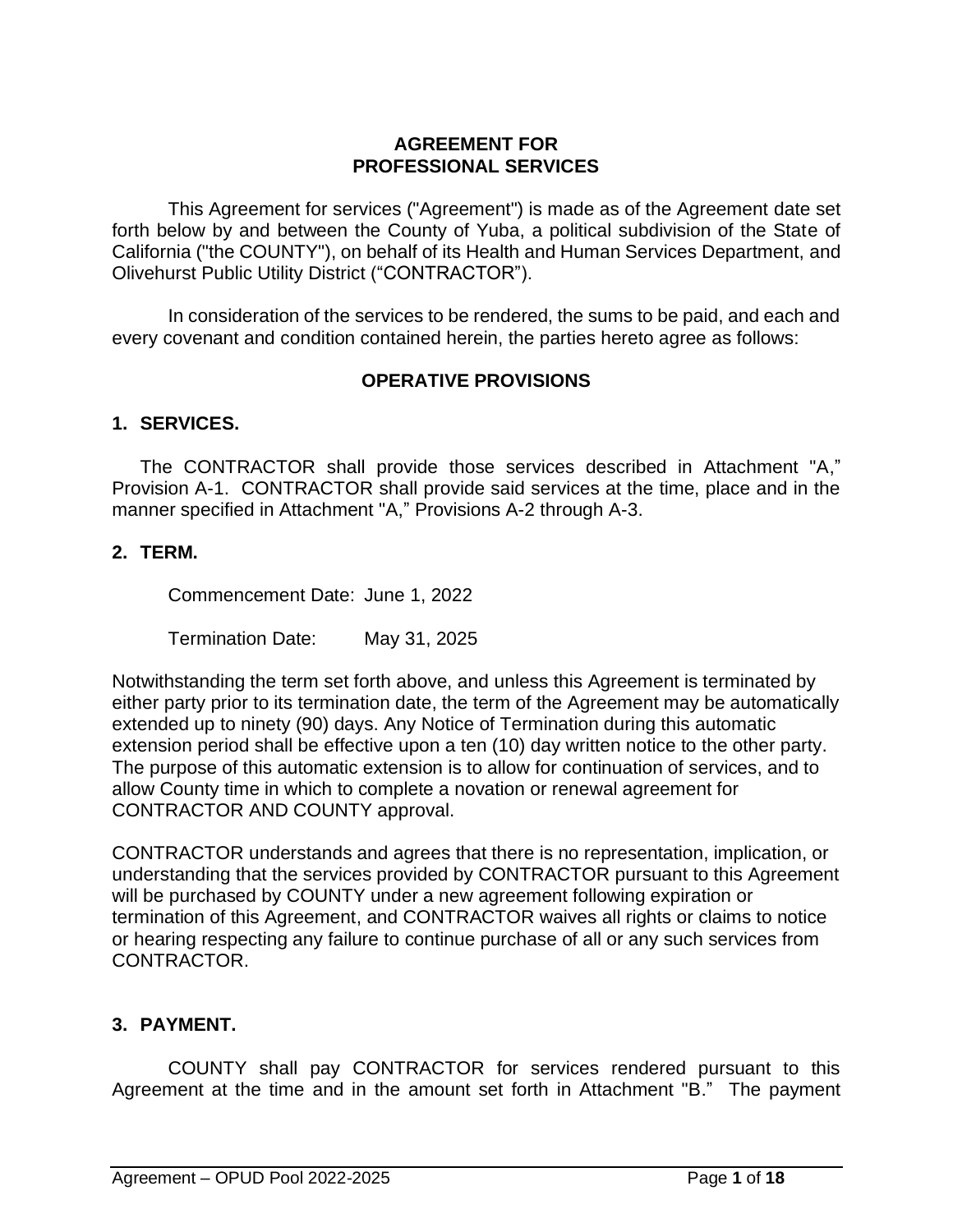#### **AGREEMENT FOR PROFESSIONAL SERVICES**

This Agreement for services ("Agreement") is made as of the Agreement date set forth below by and between the County of Yuba, a political subdivision of the State of California ("the COUNTY"), on behalf of its Health and Human Services Department, and Olivehurst Public Utility District ("CONTRACTOR").

In consideration of the services to be rendered, the sums to be paid, and each and every covenant and condition contained herein, the parties hereto agree as follows:

#### **OPERATIVE PROVISIONS**

#### **1. SERVICES.**

The CONTRACTOR shall provide those services described in Attachment "A," Provision A-1. CONTRACTOR shall provide said services at the time, place and in the manner specified in Attachment "A," Provisions A-2 through A-3.

#### **2. TERM.**

Commencement Date: June 1, 2022

Termination Date: May 31, 2025

Notwithstanding the term set forth above, and unless this Agreement is terminated by either party prior to its termination date, the term of the Agreement may be automatically extended up to ninety (90) days. Any Notice of Termination during this automatic extension period shall be effective upon a ten (10) day written notice to the other party. The purpose of this automatic extension is to allow for continuation of services, and to allow County time in which to complete a novation or renewal agreement for CONTRACTOR AND COUNTY approval.

CONTRACTOR understands and agrees that there is no representation, implication, or understanding that the services provided by CONTRACTOR pursuant to this Agreement will be purchased by COUNTY under a new agreement following expiration or termination of this Agreement, and CONTRACTOR waives all rights or claims to notice or hearing respecting any failure to continue purchase of all or any such services from CONTRACTOR.

## **3. PAYMENT.**

COUNTY shall pay CONTRACTOR for services rendered pursuant to this Agreement at the time and in the amount set forth in Attachment "B." The payment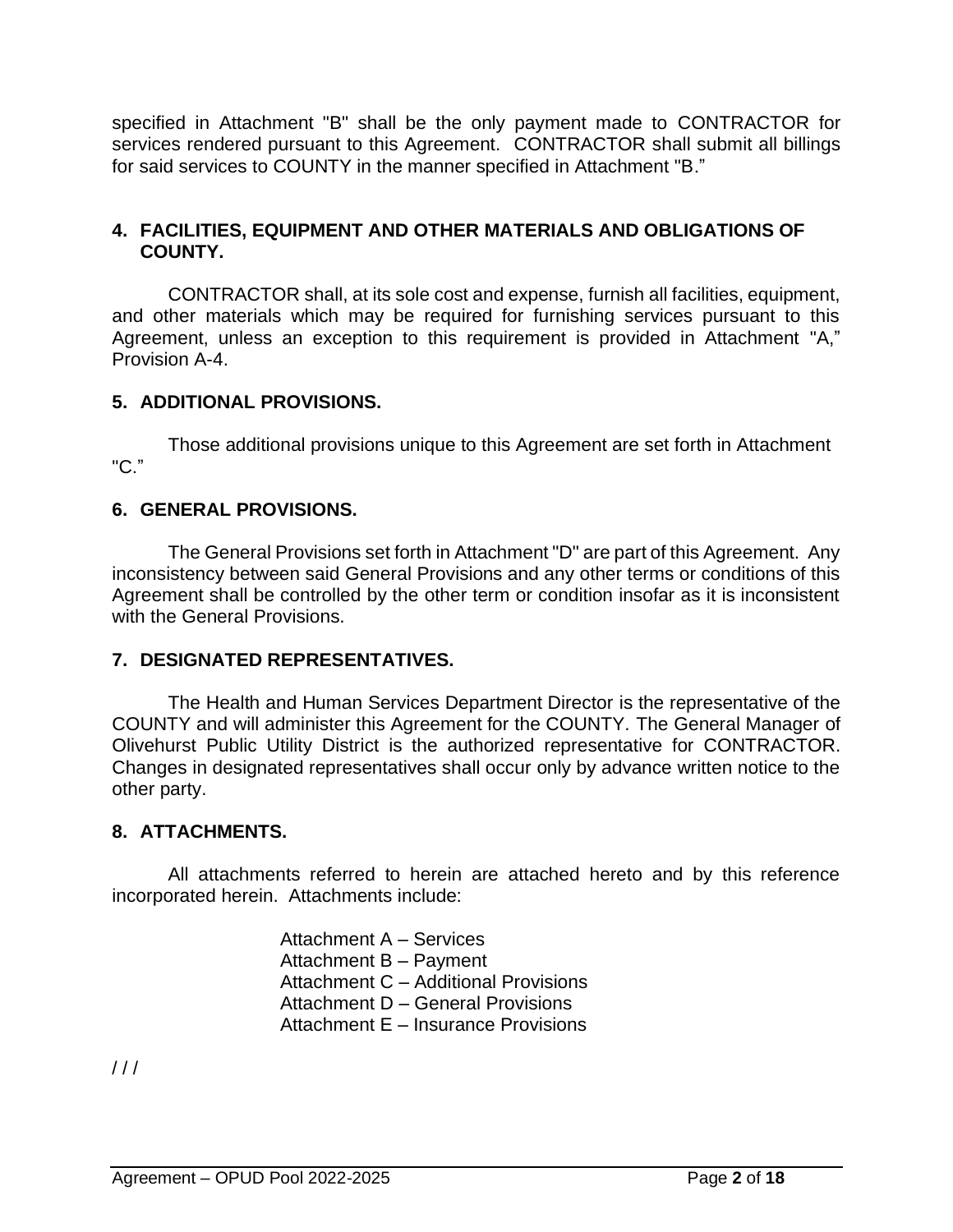specified in Attachment "B" shall be the only payment made to CONTRACTOR for services rendered pursuant to this Agreement. CONTRACTOR shall submit all billings for said services to COUNTY in the manner specified in Attachment "B."

## **4. FACILITIES, EQUIPMENT AND OTHER MATERIALS AND OBLIGATIONS OF COUNTY.**

CONTRACTOR shall, at its sole cost and expense, furnish all facilities, equipment, and other materials which may be required for furnishing services pursuant to this Agreement, unless an exception to this requirement is provided in Attachment "A," Provision A-4.

## **5. ADDITIONAL PROVISIONS.**

Those additional provisions unique to this Agreement are set forth in Attachment "C."

## **6. GENERAL PROVISIONS.**

The General Provisions set forth in Attachment "D" are part of this Agreement. Any inconsistency between said General Provisions and any other terms or conditions of this Agreement shall be controlled by the other term or condition insofar as it is inconsistent with the General Provisions.

## **7. DESIGNATED REPRESENTATIVES.**

The Health and Human Services Department Director is the representative of the COUNTY and will administer this Agreement for the COUNTY. The General Manager of Olivehurst Public Utility District is the authorized representative for CONTRACTOR. Changes in designated representatives shall occur only by advance written notice to the other party.

## **8. ATTACHMENTS.**

All attachments referred to herein are attached hereto and by this reference incorporated herein. Attachments include:

> Attachment A – Services Attachment B – Payment Attachment C – Additional Provisions Attachment D – General Provisions Attachment E – Insurance Provisions

 $11<sup>1</sup>$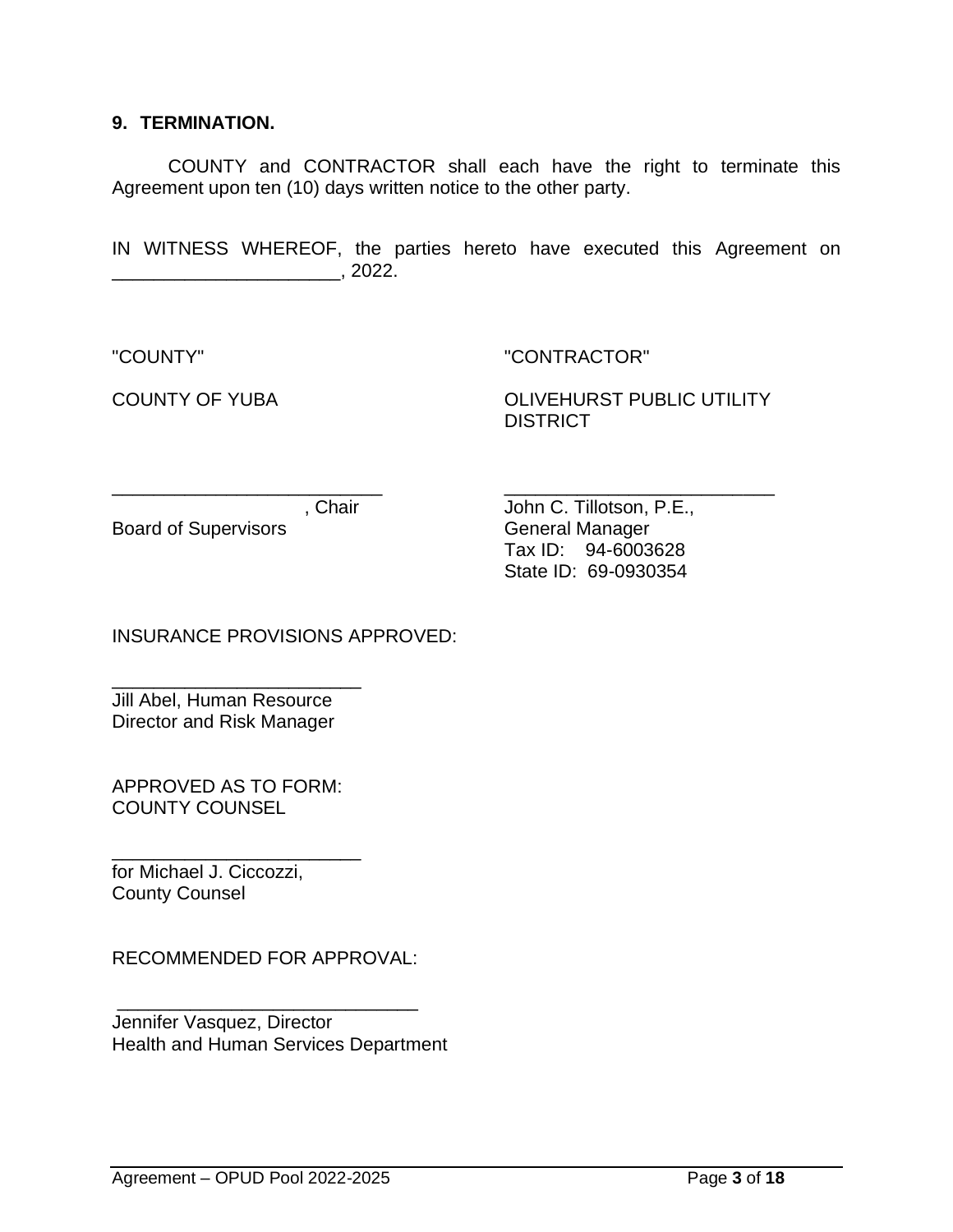#### **9. TERMINATION.**

COUNTY and CONTRACTOR shall each have the right to terminate this Agreement upon ten (10) days written notice to the other party.

IN WITNESS WHEREOF, the parties hereto have executed this Agreement on \_\_\_\_\_\_\_\_\_\_\_\_\_\_\_\_\_\_\_\_\_\_, 2022.

"COUNTY" "CONTRACTOR"

COUNTY OF YUBA COUNTY OF YUBA **DISTRICT** 

\_\_\_\_\_\_\_\_\_\_\_\_\_\_\_\_\_\_\_\_\_\_\_\_\_\_ \_\_\_\_\_\_\_\_\_\_\_\_\_\_\_\_\_\_\_\_\_\_\_\_\_\_

Board of Supervisors **General Manager** 

, Chair **John C. Tillotson, P.E.**, Tax ID: 94-6003628 State ID: 69-0930354

INSURANCE PROVISIONS APPROVED:

\_\_\_\_\_\_\_\_\_\_\_\_\_\_\_\_\_\_\_\_\_\_\_\_ Jill Abel, Human Resource Director and Risk Manager

APPROVED AS TO FORM: COUNTY COUNSEL

\_\_\_\_\_\_\_\_\_\_\_\_\_\_\_\_\_\_\_\_\_\_\_\_ for Michael J. Ciccozzi, County Counsel

RECOMMENDED FOR APPROVAL:

\_\_\_\_\_\_\_\_\_\_\_\_\_\_\_\_\_\_\_\_\_\_\_\_\_\_\_\_\_

Jennifer Vasquez, Director Health and Human Services Department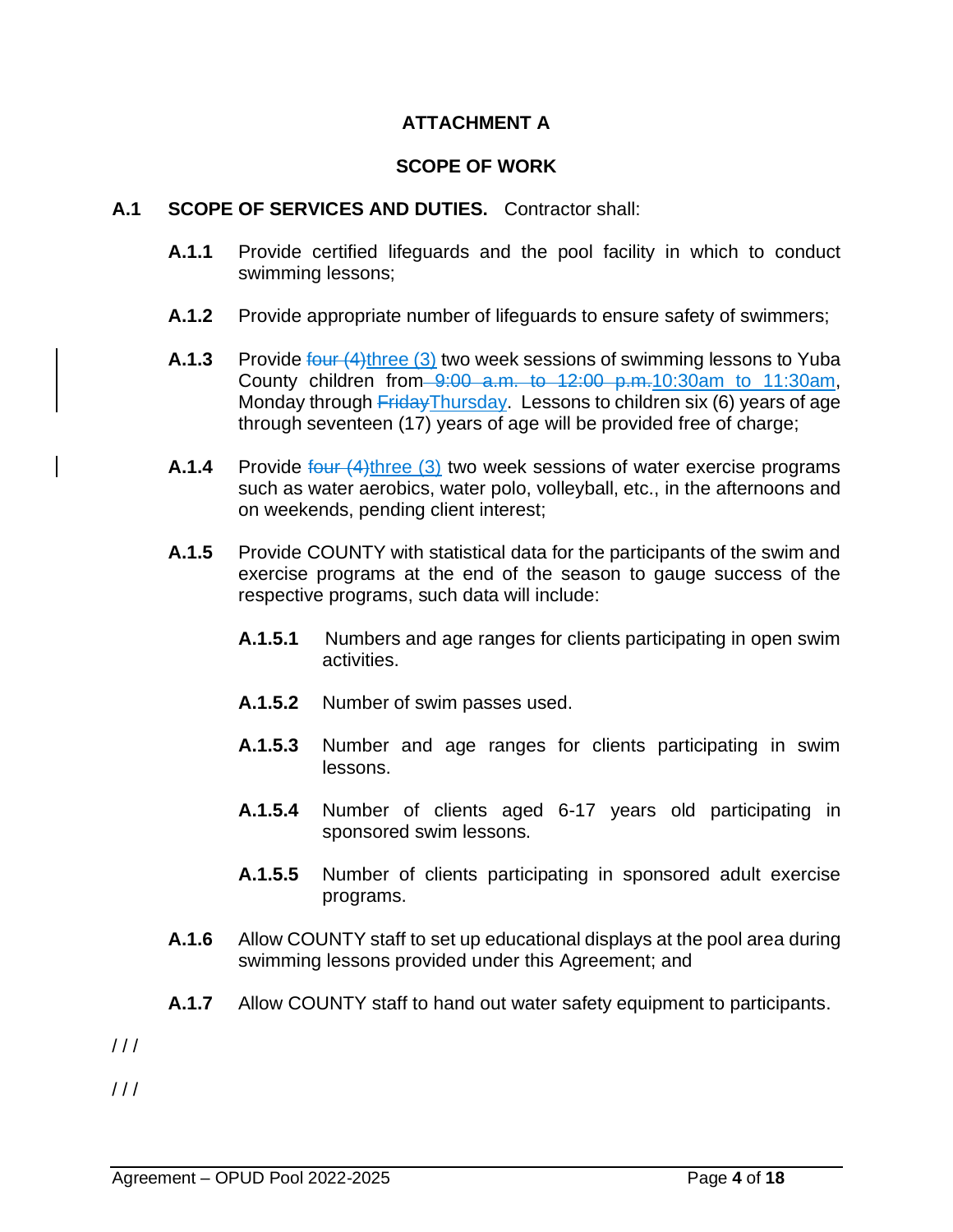## **ATTACHMENT A**

#### **SCOPE OF WORK**

#### **A.1 SCOPE OF SERVICES AND DUTIES.** Contractor shall:

- **A.1.1** Provide certified lifeguards and the pool facility in which to conduct swimming lessons;
- **A.1.2** Provide appropriate number of lifeguards to ensure safety of swimmers;
- **A.1.3** Provide four (4)three (3) two week sessions of swimming lessons to Yuba County children from 9:00 a.m. to 12:00 p.m.10:30am to 11:30am, Monday through FridayThursday. Lessons to children six (6) years of age through seventeen (17) years of age will be provided free of charge;
- **A.1.4** Provide four (4)three (3) two week sessions of water exercise programs such as water aerobics, water polo, volleyball, etc., in the afternoons and on weekends, pending client interest;
- **A.1.5** Provide COUNTY with statistical data for the participants of the swim and exercise programs at the end of the season to gauge success of the respective programs, such data will include:
	- **A.1.5.1** Numbers and age ranges for clients participating in open swim activities.
	- **A.1.5.2** Number of swim passes used.
	- **A.1.5.3** Number and age ranges for clients participating in swim lessons.
	- **A.1.5.4** Number of clients aged 6-17 years old participating in sponsored swim lessons.
	- **A.1.5.5** Number of clients participating in sponsored adult exercise programs.
- **A.1.6** Allow COUNTY staff to set up educational displays at the pool area during swimming lessons provided under this Agreement; and
- **A.1.7** Allow COUNTY staff to hand out water safety equipment to participants.
- $111$
- $111$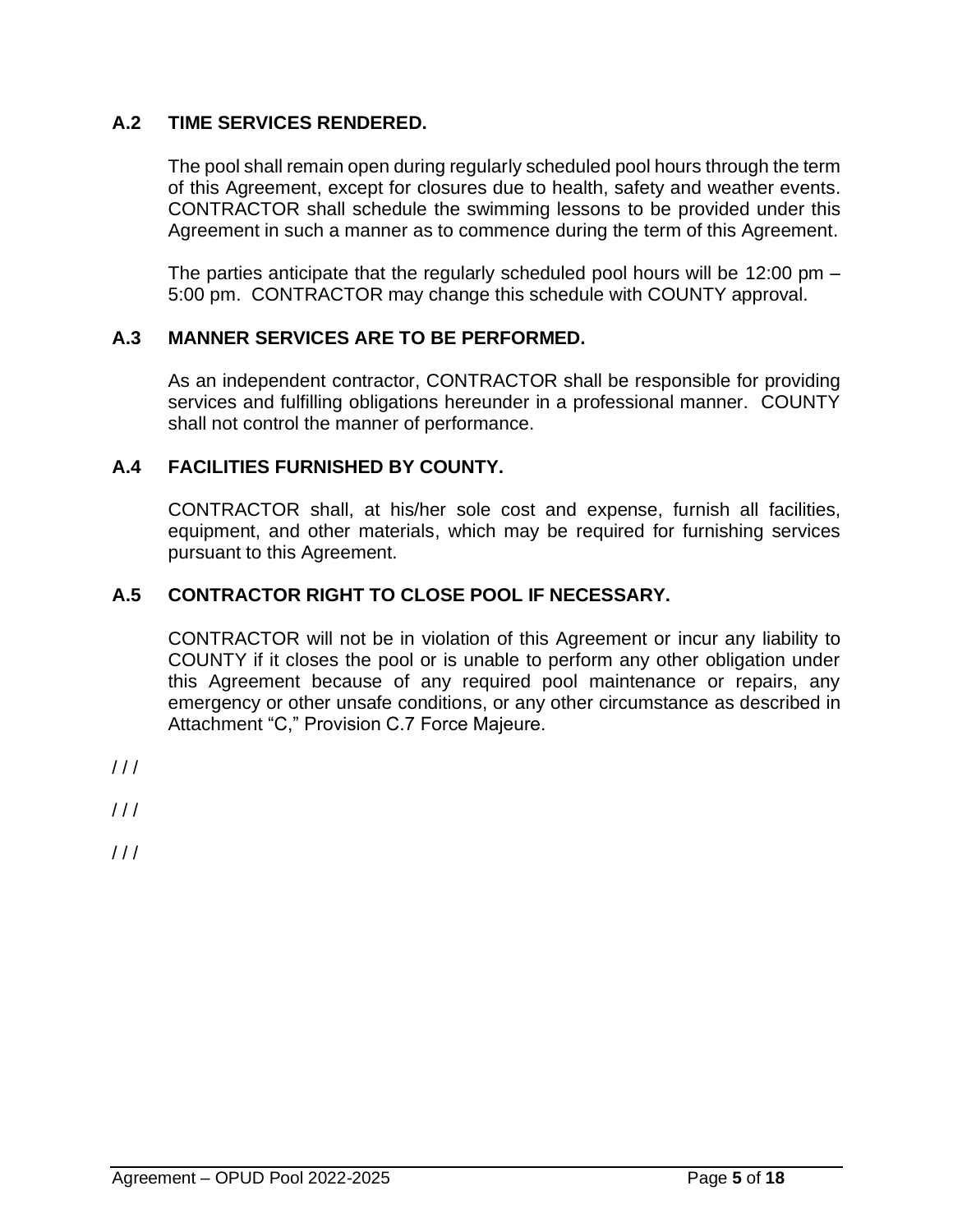## **A.2 TIME SERVICES RENDERED.**

The pool shall remain open during regularly scheduled pool hours through the term of this Agreement, except for closures due to health, safety and weather events. CONTRACTOR shall schedule the swimming lessons to be provided under this Agreement in such a manner as to commence during the term of this Agreement.

The parties anticipate that the regularly scheduled pool hours will be 12:00 pm – 5:00 pm. CONTRACTOR may change this schedule with COUNTY approval.

#### **A.3 MANNER SERVICES ARE TO BE PERFORMED.**

As an independent contractor, CONTRACTOR shall be responsible for providing services and fulfilling obligations hereunder in a professional manner. COUNTY shall not control the manner of performance.

#### **A.4 FACILITIES FURNISHED BY COUNTY.**

CONTRACTOR shall, at his/her sole cost and expense, furnish all facilities, equipment, and other materials, which may be required for furnishing services pursuant to this Agreement.

## **A.5 CONTRACTOR RIGHT TO CLOSE POOL IF NECESSARY.**

CONTRACTOR will not be in violation of this Agreement or incur any liability to COUNTY if it closes the pool or is unable to perform any other obligation under this Agreement because of any required pool maintenance or repairs, any emergency or other unsafe conditions, or any other circumstance as described in Attachment "C," Provision C.7 Force Majeure.

 $11<sup>1</sup>$ 

 $111$ 

 $11<sup>1</sup>$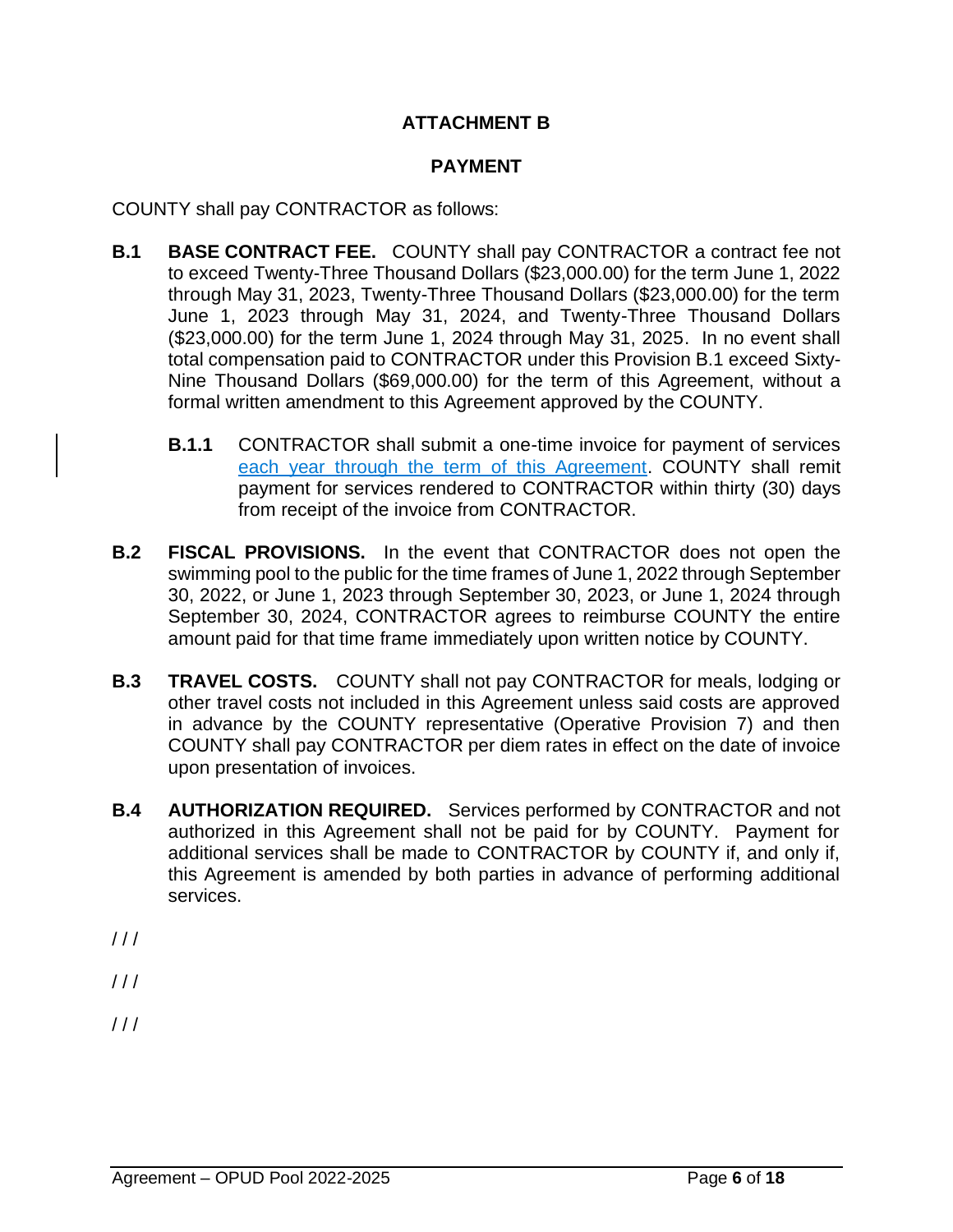# **ATTACHMENT B**

## **PAYMENT**

COUNTY shall pay CONTRACTOR as follows:

- **B.1 BASE CONTRACT FEE.** COUNTY shall pay CONTRACTOR a contract fee not to exceed Twenty-Three Thousand Dollars (\$23,000.00) for the term June 1, 2022 through May 31, 2023, Twenty-Three Thousand Dollars (\$23,000.00) for the term June 1, 2023 through May 31, 2024, and Twenty-Three Thousand Dollars (\$23,000.00) for the term June 1, 2024 through May 31, 2025. In no event shall total compensation paid to CONTRACTOR under this Provision B.1 exceed Sixty-Nine Thousand Dollars (\$69,000.00) for the term of this Agreement, without a formal written amendment to this Agreement approved by the COUNTY.
	- **B.1.1** CONTRACTOR shall submit a one-time invoice for payment of services each year through the term of this Agreement. COUNTY shall remit payment for services rendered to CONTRACTOR within thirty (30) days from receipt of the invoice from CONTRACTOR.
- **B.2 FISCAL PROVISIONS.** In the event that CONTRACTOR does not open the swimming pool to the public for the time frames of June 1, 2022 through September 30, 2022, or June 1, 2023 through September 30, 2023, or June 1, 2024 through September 30, 2024, CONTRACTOR agrees to reimburse COUNTY the entire amount paid for that time frame immediately upon written notice by COUNTY.
- **B.3 TRAVEL COSTS.** COUNTY shall not pay CONTRACTOR for meals, lodging or other travel costs not included in this Agreement unless said costs are approved in advance by the COUNTY representative (Operative Provision 7) and then COUNTY shall pay CONTRACTOR per diem rates in effect on the date of invoice upon presentation of invoices.
- **B.4 AUTHORIZATION REQUIRED.** Services performed by CONTRACTOR and not authorized in this Agreement shall not be paid for by COUNTY. Payment for additional services shall be made to CONTRACTOR by COUNTY if, and only if, this Agreement is amended by both parties in advance of performing additional services.
- $111$
- $111$
- $111$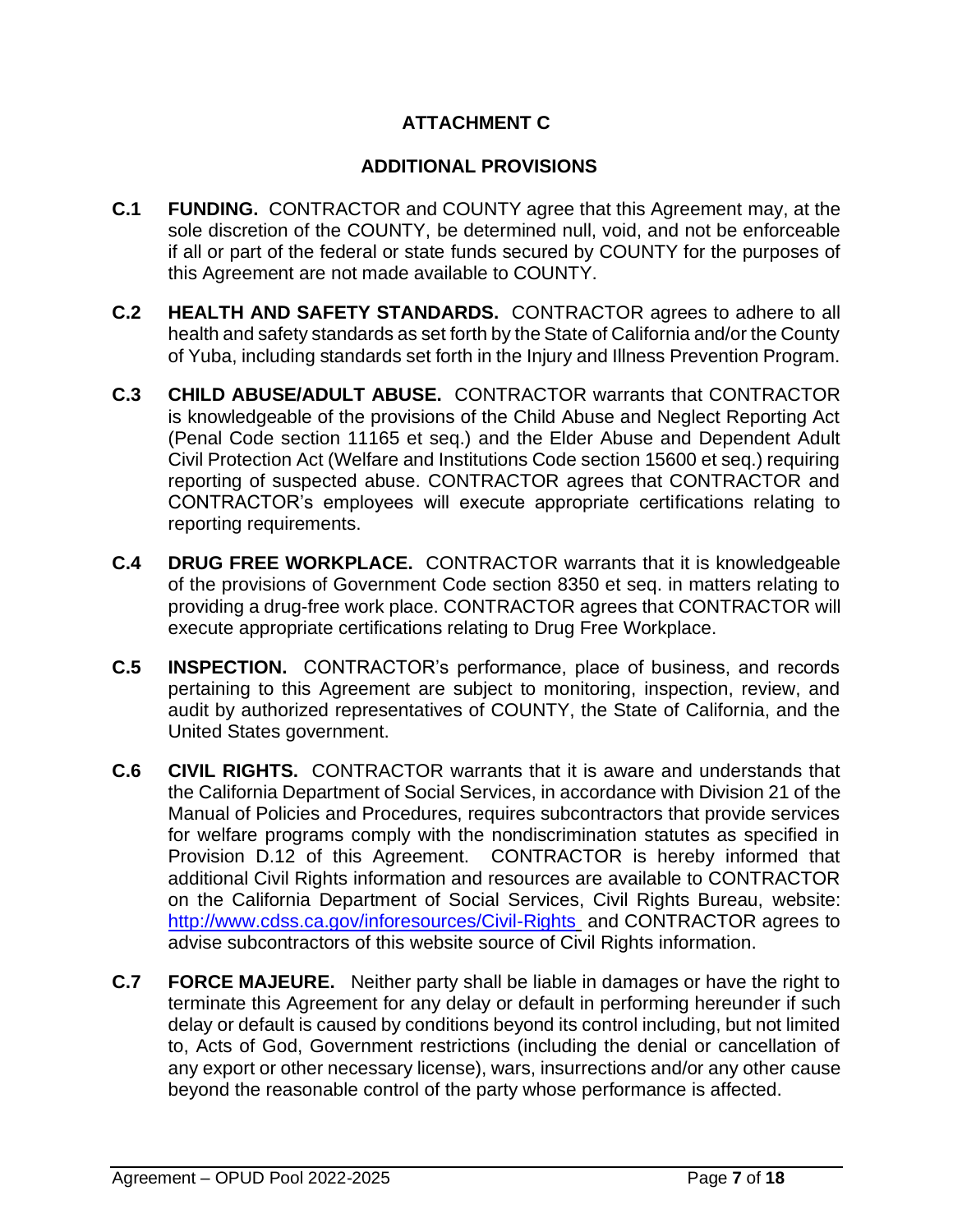# **ATTACHMENT C**

## **ADDITIONAL PROVISIONS**

- **C.1 FUNDING.** CONTRACTOR and COUNTY agree that this Agreement may, at the sole discretion of the COUNTY, be determined null, void, and not be enforceable if all or part of the federal or state funds secured by COUNTY for the purposes of this Agreement are not made available to COUNTY.
- **C.2 HEALTH AND SAFETY STANDARDS.** CONTRACTOR agrees to adhere to all health and safety standards as set forth by the State of California and/or the County of Yuba, including standards set forth in the Injury and Illness Prevention Program.
- **C.3 CHILD ABUSE/ADULT ABUSE.** CONTRACTOR warrants that CONTRACTOR is knowledgeable of the provisions of the Child Abuse and Neglect Reporting Act (Penal Code section 11165 et seq.) and the Elder Abuse and Dependent Adult Civil Protection Act (Welfare and Institutions Code section 15600 et seq.) requiring reporting of suspected abuse. CONTRACTOR agrees that CONTRACTOR and CONTRACTOR's employees will execute appropriate certifications relating to reporting requirements.
- **C.4 DRUG FREE WORKPLACE.** CONTRACTOR warrants that it is knowledgeable of the provisions of Government Code section 8350 et seq. in matters relating to providing a drug-free work place. CONTRACTOR agrees that CONTRACTOR will execute appropriate certifications relating to Drug Free Workplace.
- **C.5 INSPECTION.** CONTRACTOR's performance, place of business, and records pertaining to this Agreement are subject to monitoring, inspection, review, and audit by authorized representatives of COUNTY, the State of California, and the United States government.
- **C.6 CIVIL RIGHTS.** CONTRACTOR warrants that it is aware and understands that the California Department of Social Services, in accordance with Division 21 of the Manual of Policies and Procedures, requires subcontractors that provide services for welfare programs comply with the nondiscrimination statutes as specified in Provision D.12 of this Agreement. CONTRACTOR is hereby informed that additional Civil Rights information and resources are available to CONTRACTOR on the California Department of Social Services, Civil Rights Bureau, website: <http://www.cdss.ca.gov/inforesources/Civil-Rights> and CONTRACTOR agrees to advise subcontractors of this website source of Civil Rights information.
- **C.7 FORCE MAJEURE.** Neither party shall be liable in damages or have the right to terminate this Agreement for any delay or default in performing hereunder if such delay or default is caused by conditions beyond its control including, but not limited to, Acts of God, Government restrictions (including the denial or cancellation of any export or other necessary license), wars, insurrections and/or any other cause beyond the reasonable control of the party whose performance is affected.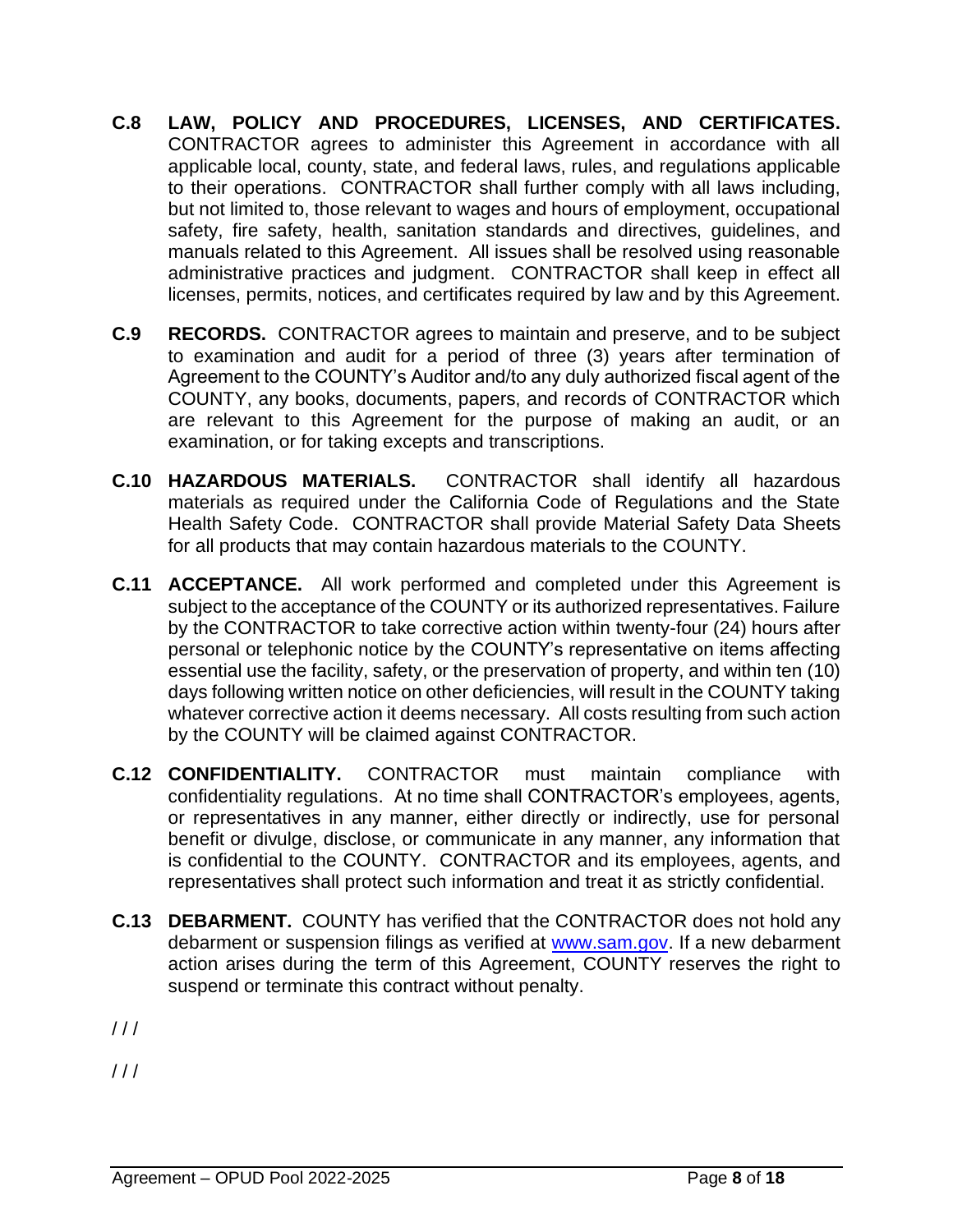- **C.8 LAW, POLICY AND PROCEDURES, LICENSES, AND CERTIFICATES.**  CONTRACTOR agrees to administer this Agreement in accordance with all applicable local, county, state, and federal laws, rules, and regulations applicable to their operations. CONTRACTOR shall further comply with all laws including, but not limited to, those relevant to wages and hours of employment, occupational safety, fire safety, health, sanitation standards and directives, guidelines, and manuals related to this Agreement. All issues shall be resolved using reasonable administrative practices and judgment. CONTRACTOR shall keep in effect all licenses, permits, notices, and certificates required by law and by this Agreement.
- **C.9 RECORDS.** CONTRACTOR agrees to maintain and preserve, and to be subject to examination and audit for a period of three (3) years after termination of Agreement to the COUNTY's Auditor and/to any duly authorized fiscal agent of the COUNTY, any books, documents, papers, and records of CONTRACTOR which are relevant to this Agreement for the purpose of making an audit, or an examination, or for taking excepts and transcriptions.
- **C.10 HAZARDOUS MATERIALS.** CONTRACTOR shall identify all hazardous materials as required under the California Code of Regulations and the State Health Safety Code. CONTRACTOR shall provide Material Safety Data Sheets for all products that may contain hazardous materials to the COUNTY.
- **C.11 ACCEPTANCE.** All work performed and completed under this Agreement is subject to the acceptance of the COUNTY or its authorized representatives. Failure by the CONTRACTOR to take corrective action within twenty-four (24) hours after personal or telephonic notice by the COUNTY's representative on items affecting essential use the facility, safety, or the preservation of property, and within ten (10) days following written notice on other deficiencies, will result in the COUNTY taking whatever corrective action it deems necessary. All costs resulting from such action by the COUNTY will be claimed against CONTRACTOR.
- **C.12 CONFIDENTIALITY.** CONTRACTOR must maintain compliance with confidentiality regulations. At no time shall CONTRACTOR's employees, agents, or representatives in any manner, either directly or indirectly, use for personal benefit or divulge, disclose, or communicate in any manner, any information that is confidential to the COUNTY. CONTRACTOR and its employees, agents, and representatives shall protect such information and treat it as strictly confidential.
- **C.13 DEBARMENT.** COUNTY has verified that the CONTRACTOR does not hold any debarment or suspension filings as verified at [www.sam.gov.](http://www.sam.gov/) If a new debarment action arises during the term of this Agreement, COUNTY reserves the right to suspend or terminate this contract without penalty.
- $111$

 $111$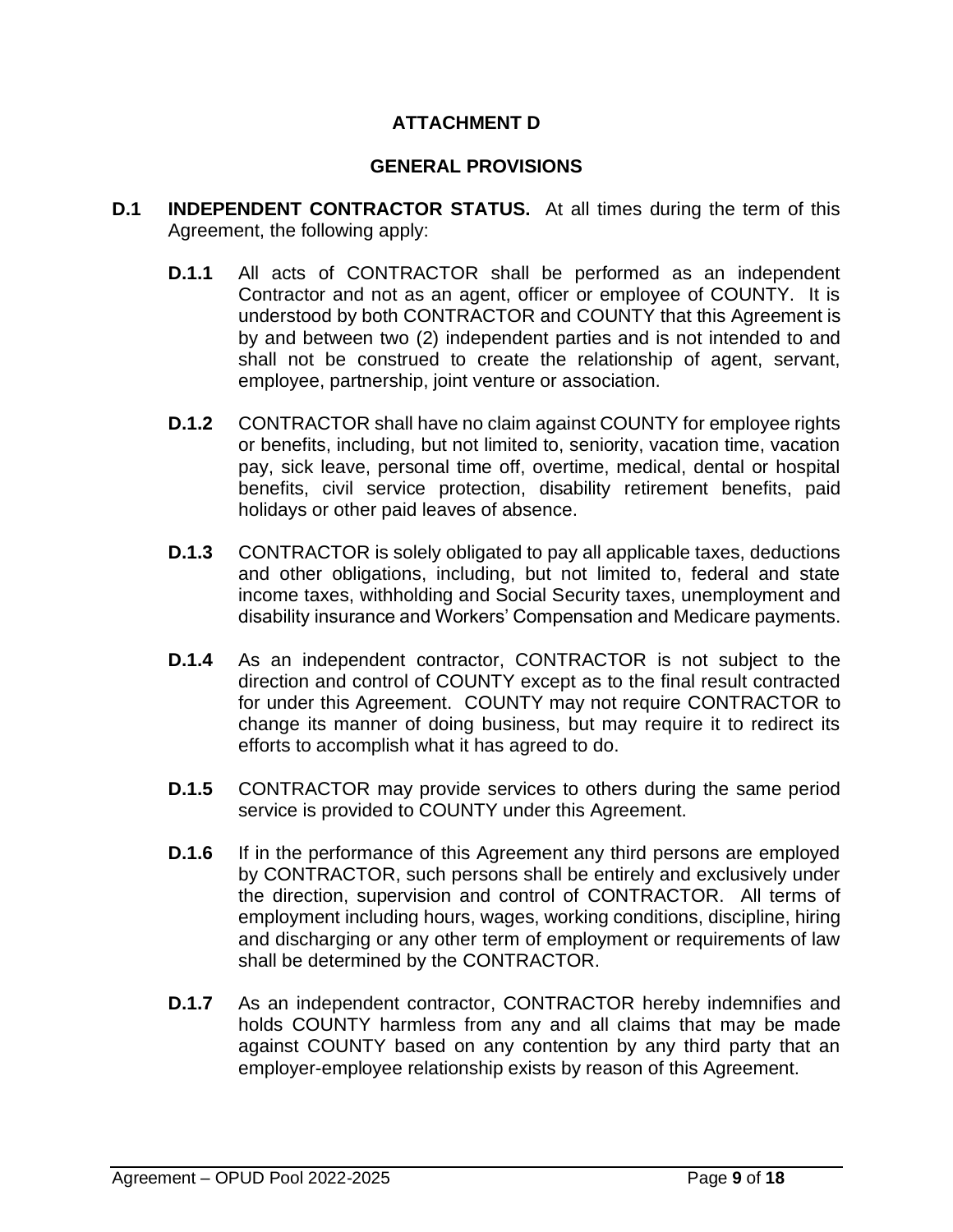## **ATTACHMENT D**

#### **GENERAL PROVISIONS**

- **D.1 INDEPENDENT CONTRACTOR STATUS.** At all times during the term of this Agreement, the following apply:
	- **D.1.1** All acts of CONTRACTOR shall be performed as an independent Contractor and not as an agent, officer or employee of COUNTY. It is understood by both CONTRACTOR and COUNTY that this Agreement is by and between two (2) independent parties and is not intended to and shall not be construed to create the relationship of agent, servant, employee, partnership, joint venture or association.
	- **D.1.2** CONTRACTOR shall have no claim against COUNTY for employee rights or benefits, including, but not limited to, seniority, vacation time, vacation pay, sick leave, personal time off, overtime, medical, dental or hospital benefits, civil service protection, disability retirement benefits, paid holidays or other paid leaves of absence.
	- **D.1.3** CONTRACTOR is solely obligated to pay all applicable taxes, deductions and other obligations, including, but not limited to, federal and state income taxes, withholding and Social Security taxes, unemployment and disability insurance and Workers' Compensation and Medicare payments.
	- **D.1.4** As an independent contractor, CONTRACTOR is not subject to the direction and control of COUNTY except as to the final result contracted for under this Agreement. COUNTY may not require CONTRACTOR to change its manner of doing business, but may require it to redirect its efforts to accomplish what it has agreed to do.
	- **D.1.5** CONTRACTOR may provide services to others during the same period service is provided to COUNTY under this Agreement.
	- **D.1.6** If in the performance of this Agreement any third persons are employed by CONTRACTOR, such persons shall be entirely and exclusively under the direction, supervision and control of CONTRACTOR. All terms of employment including hours, wages, working conditions, discipline, hiring and discharging or any other term of employment or requirements of law shall be determined by the CONTRACTOR.
	- **D.1.7** As an independent contractor, CONTRACTOR hereby indemnifies and holds COUNTY harmless from any and all claims that may be made against COUNTY based on any contention by any third party that an employer-employee relationship exists by reason of this Agreement.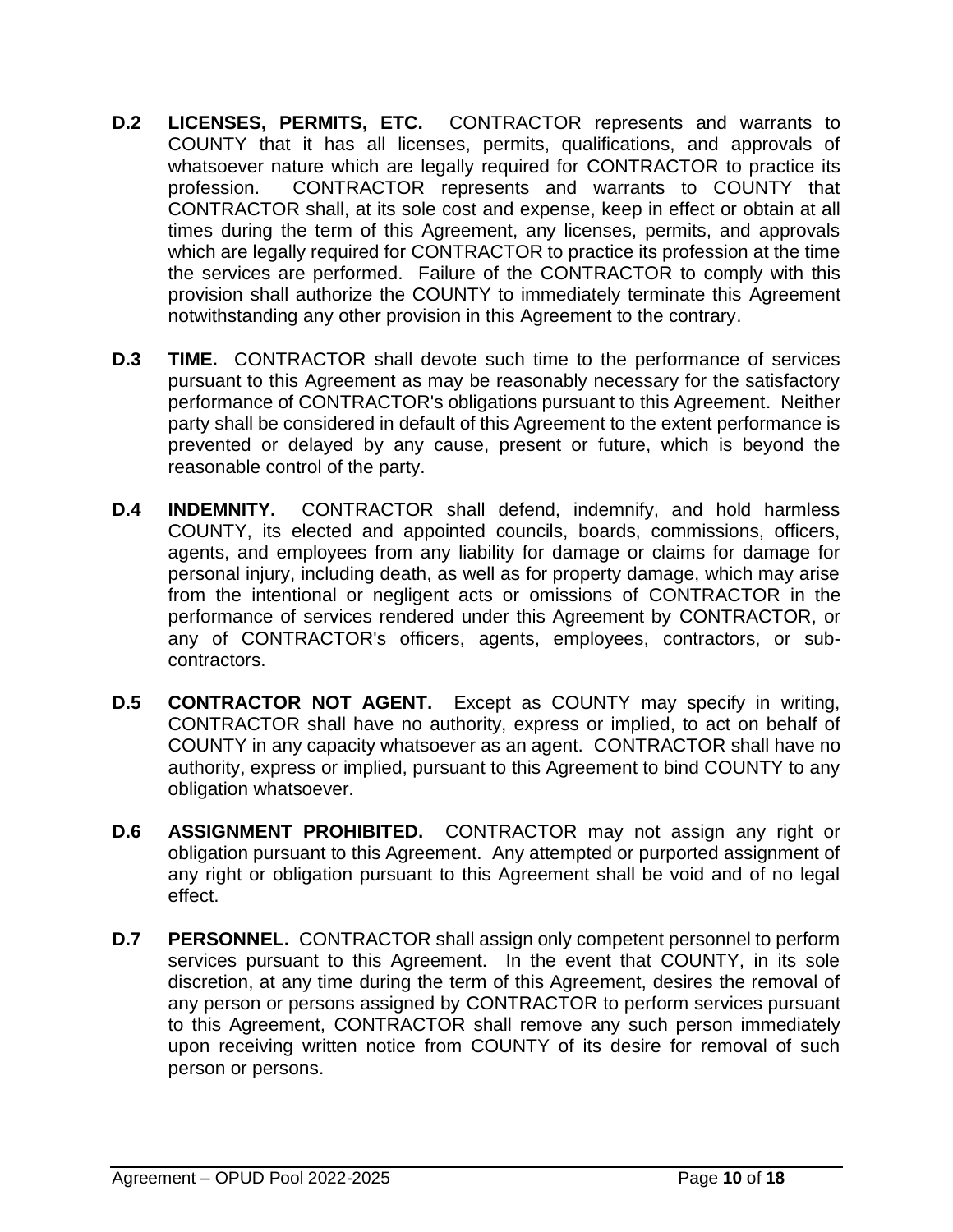- **D.2 LICENSES, PERMITS, ETC.** CONTRACTOR represents and warrants to COUNTY that it has all licenses, permits, qualifications, and approvals of whatsoever nature which are legally required for CONTRACTOR to practice its profession. CONTRACTOR represents and warrants to COUNTY that CONTRACTOR shall, at its sole cost and expense, keep in effect or obtain at all times during the term of this Agreement, any licenses, permits, and approvals which are legally required for CONTRACTOR to practice its profession at the time the services are performed. Failure of the CONTRACTOR to comply with this provision shall authorize the COUNTY to immediately terminate this Agreement notwithstanding any other provision in this Agreement to the contrary.
- **D.3 TIME.** CONTRACTOR shall devote such time to the performance of services pursuant to this Agreement as may be reasonably necessary for the satisfactory performance of CONTRACTOR's obligations pursuant to this Agreement. Neither party shall be considered in default of this Agreement to the extent performance is prevented or delayed by any cause, present or future, which is beyond the reasonable control of the party.
- **D.4 INDEMNITY.** CONTRACTOR shall defend, indemnify, and hold harmless COUNTY, its elected and appointed councils, boards, commissions, officers, agents, and employees from any liability for damage or claims for damage for personal injury, including death, as well as for property damage, which may arise from the intentional or negligent acts or omissions of CONTRACTOR in the performance of services rendered under this Agreement by CONTRACTOR, or any of CONTRACTOR's officers, agents, employees, contractors, or subcontractors.
- **D.5 CONTRACTOR NOT AGENT.** Except as COUNTY may specify in writing, CONTRACTOR shall have no authority, express or implied, to act on behalf of COUNTY in any capacity whatsoever as an agent. CONTRACTOR shall have no authority, express or implied, pursuant to this Agreement to bind COUNTY to any obligation whatsoever.
- **D.6 ASSIGNMENT PROHIBITED.** CONTRACTOR may not assign any right or obligation pursuant to this Agreement. Any attempted or purported assignment of any right or obligation pursuant to this Agreement shall be void and of no legal effect.
- **D.7 PERSONNEL.** CONTRACTOR shall assign only competent personnel to perform services pursuant to this Agreement. In the event that COUNTY, in its sole discretion, at any time during the term of this Agreement, desires the removal of any person or persons assigned by CONTRACTOR to perform services pursuant to this Agreement, CONTRACTOR shall remove any such person immediately upon receiving written notice from COUNTY of its desire for removal of such person or persons.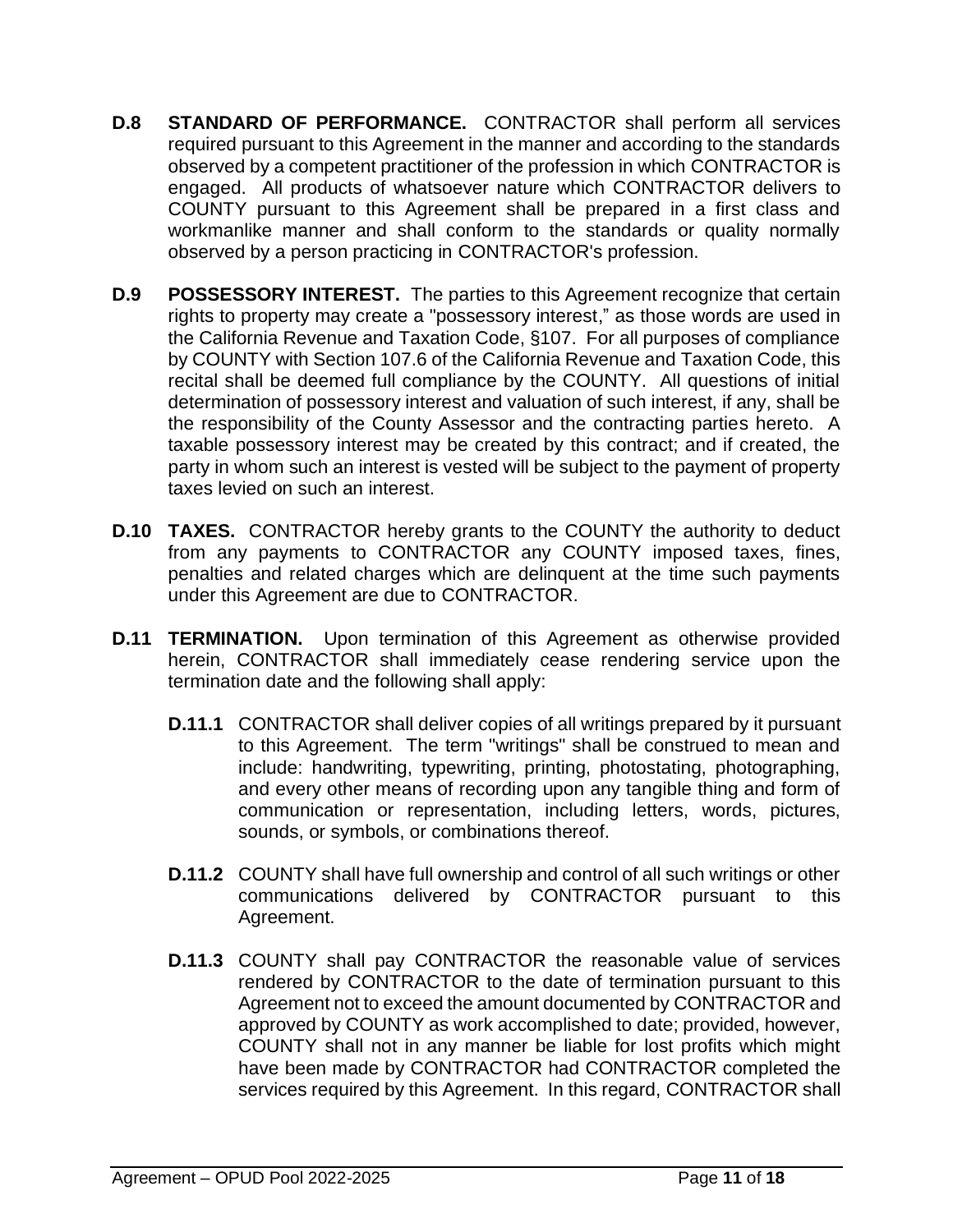- **D.8 STANDARD OF PERFORMANCE.** CONTRACTOR shall perform all services required pursuant to this Agreement in the manner and according to the standards observed by a competent practitioner of the profession in which CONTRACTOR is engaged. All products of whatsoever nature which CONTRACTOR delivers to COUNTY pursuant to this Agreement shall be prepared in a first class and workmanlike manner and shall conform to the standards or quality normally observed by a person practicing in CONTRACTOR's profession.
- **D.9 POSSESSORY INTEREST.** The parties to this Agreement recognize that certain rights to property may create a "possessory interest," as those words are used in the California Revenue and Taxation Code, §107. For all purposes of compliance by COUNTY with Section 107.6 of the California Revenue and Taxation Code, this recital shall be deemed full compliance by the COUNTY. All questions of initial determination of possessory interest and valuation of such interest, if any, shall be the responsibility of the County Assessor and the contracting parties hereto. A taxable possessory interest may be created by this contract; and if created, the party in whom such an interest is vested will be subject to the payment of property taxes levied on such an interest.
- **D.10 TAXES.** CONTRACTOR hereby grants to the COUNTY the authority to deduct from any payments to CONTRACTOR any COUNTY imposed taxes, fines, penalties and related charges which are delinquent at the time such payments under this Agreement are due to CONTRACTOR.
- **D.11 TERMINATION.** Upon termination of this Agreement as otherwise provided herein, CONTRACTOR shall immediately cease rendering service upon the termination date and the following shall apply:
	- **D.11.1** CONTRACTOR shall deliver copies of all writings prepared by it pursuant to this Agreement. The term "writings" shall be construed to mean and include: handwriting, typewriting, printing, photostating, photographing, and every other means of recording upon any tangible thing and form of communication or representation, including letters, words, pictures, sounds, or symbols, or combinations thereof.
	- **D.11.2** COUNTY shall have full ownership and control of all such writings or other communications delivered by CONTRACTOR pursuant to this Agreement.
	- **D.11.3** COUNTY shall pay CONTRACTOR the reasonable value of services rendered by CONTRACTOR to the date of termination pursuant to this Agreement not to exceed the amount documented by CONTRACTOR and approved by COUNTY as work accomplished to date; provided, however, COUNTY shall not in any manner be liable for lost profits which might have been made by CONTRACTOR had CONTRACTOR completed the services required by this Agreement. In this regard, CONTRACTOR shall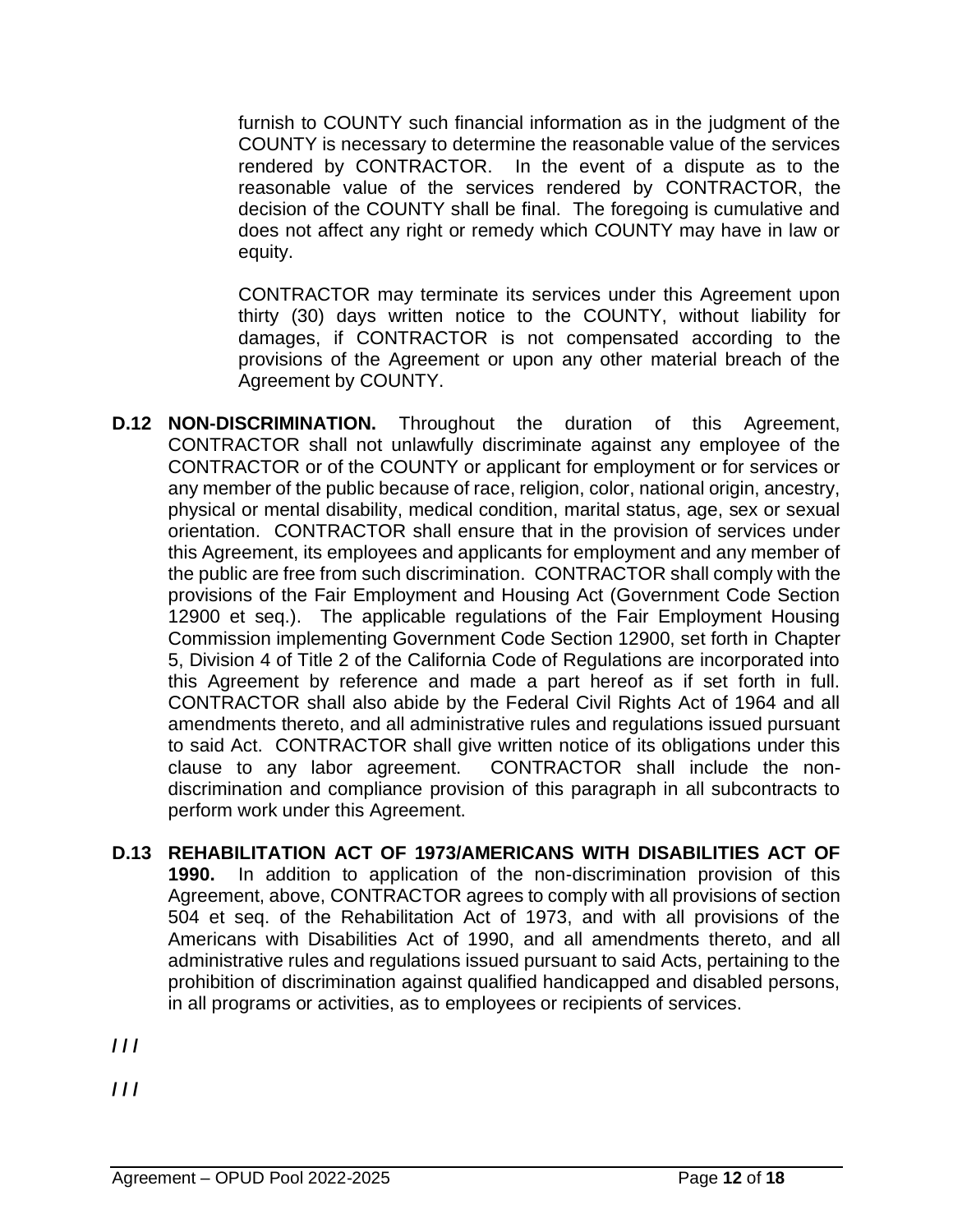furnish to COUNTY such financial information as in the judgment of the COUNTY is necessary to determine the reasonable value of the services rendered by CONTRACTOR. In the event of a dispute as to the reasonable value of the services rendered by CONTRACTOR, the decision of the COUNTY shall be final. The foregoing is cumulative and does not affect any right or remedy which COUNTY may have in law or equity.

CONTRACTOR may terminate its services under this Agreement upon thirty (30) days written notice to the COUNTY, without liability for damages, if CONTRACTOR is not compensated according to the provisions of the Agreement or upon any other material breach of the Agreement by COUNTY.

- **D.12 NON-DISCRIMINATION.** Throughout the duration of this Agreement, CONTRACTOR shall not unlawfully discriminate against any employee of the CONTRACTOR or of the COUNTY or applicant for employment or for services or any member of the public because of race, religion, color, national origin, ancestry, physical or mental disability, medical condition, marital status, age, sex or sexual orientation. CONTRACTOR shall ensure that in the provision of services under this Agreement, its employees and applicants for employment and any member of the public are free from such discrimination. CONTRACTOR shall comply with the provisions of the Fair Employment and Housing Act (Government Code Section 12900 et seq.). The applicable regulations of the Fair Employment Housing Commission implementing Government Code Section 12900, set forth in Chapter 5, Division 4 of Title 2 of the California Code of Regulations are incorporated into this Agreement by reference and made a part hereof as if set forth in full. CONTRACTOR shall also abide by the Federal Civil Rights Act of 1964 and all amendments thereto, and all administrative rules and regulations issued pursuant to said Act. CONTRACTOR shall give written notice of its obligations under this clause to any labor agreement. CONTRACTOR shall include the nondiscrimination and compliance provision of this paragraph in all subcontracts to perform work under this Agreement.
- **D.13 REHABILITATION ACT OF 1973/AMERICANS WITH DISABILITIES ACT OF 1990.** In addition to application of the non-discrimination provision of this Agreement, above, CONTRACTOR agrees to comply with all provisions of section 504 et seq. of the Rehabilitation Act of 1973, and with all provisions of the Americans with Disabilities Act of 1990, and all amendments thereto, and all administrative rules and regulations issued pursuant to said Acts, pertaining to the prohibition of discrimination against qualified handicapped and disabled persons, in all programs or activities, as to employees or recipients of services.

**/ / /**

**/ / /**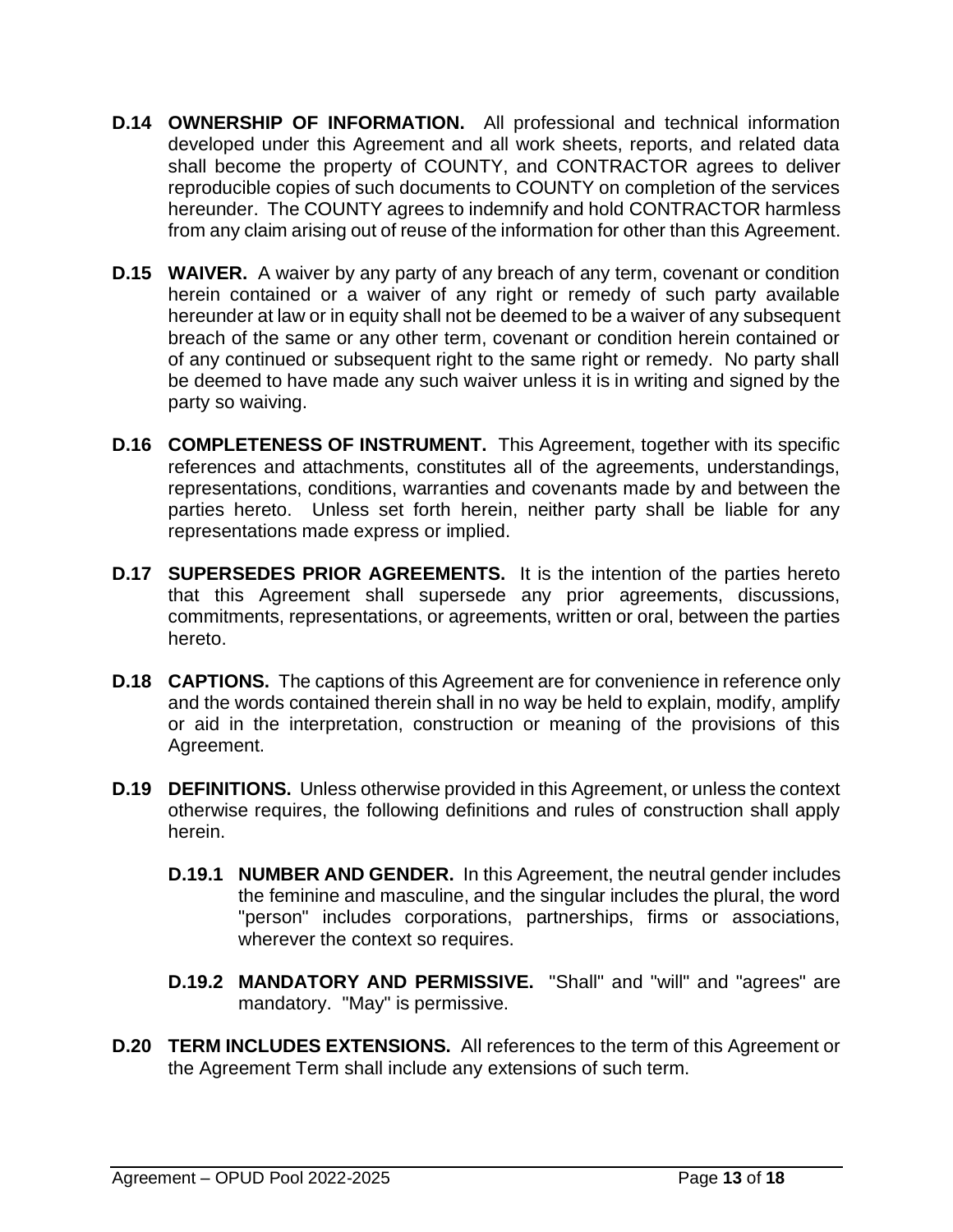- **D.14 OWNERSHIP OF INFORMATION.** All professional and technical information developed under this Agreement and all work sheets, reports, and related data shall become the property of COUNTY, and CONTRACTOR agrees to deliver reproducible copies of such documents to COUNTY on completion of the services hereunder. The COUNTY agrees to indemnify and hold CONTRACTOR harmless from any claim arising out of reuse of the information for other than this Agreement.
- **D.15 WAIVER.** A waiver by any party of any breach of any term, covenant or condition herein contained or a waiver of any right or remedy of such party available hereunder at law or in equity shall not be deemed to be a waiver of any subsequent breach of the same or any other term, covenant or condition herein contained or of any continued or subsequent right to the same right or remedy. No party shall be deemed to have made any such waiver unless it is in writing and signed by the party so waiving.
- **D.16 COMPLETENESS OF INSTRUMENT.** This Agreement, together with its specific references and attachments, constitutes all of the agreements, understandings, representations, conditions, warranties and covenants made by and between the parties hereto. Unless set forth herein, neither party shall be liable for any representations made express or implied.
- **D.17 SUPERSEDES PRIOR AGREEMENTS.** It is the intention of the parties hereto that this Agreement shall supersede any prior agreements, discussions, commitments, representations, or agreements, written or oral, between the parties hereto.
- **D.18 CAPTIONS.** The captions of this Agreement are for convenience in reference only and the words contained therein shall in no way be held to explain, modify, amplify or aid in the interpretation, construction or meaning of the provisions of this Agreement.
- **D.19 DEFINITIONS.** Unless otherwise provided in this Agreement, or unless the context otherwise requires, the following definitions and rules of construction shall apply herein.
	- **D.19.1 NUMBER AND GENDER.** In this Agreement, the neutral gender includes the feminine and masculine, and the singular includes the plural, the word "person" includes corporations, partnerships, firms or associations, wherever the context so requires.
	- **D.19.2 MANDATORY AND PERMISSIVE.** "Shall" and "will" and "agrees" are mandatory. "May" is permissive.
- **D.20 TERM INCLUDES EXTENSIONS.** All references to the term of this Agreement or the Agreement Term shall include any extensions of such term.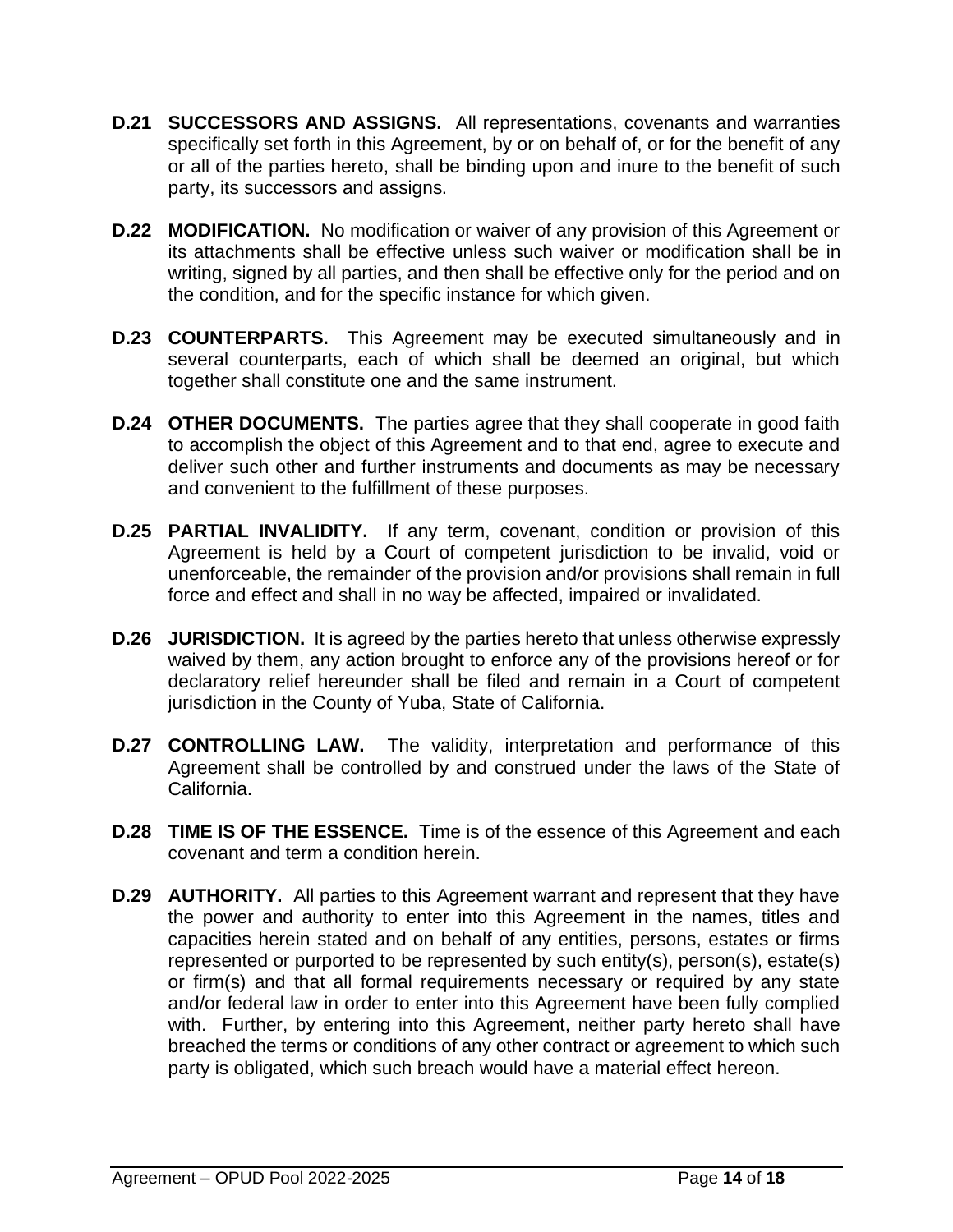- **D.21 SUCCESSORS AND ASSIGNS.** All representations, covenants and warranties specifically set forth in this Agreement, by or on behalf of, or for the benefit of any or all of the parties hereto, shall be binding upon and inure to the benefit of such party, its successors and assigns.
- **D.22 MODIFICATION.** No modification or waiver of any provision of this Agreement or its attachments shall be effective unless such waiver or modification shall be in writing, signed by all parties, and then shall be effective only for the period and on the condition, and for the specific instance for which given.
- **D.23 COUNTERPARTS.** This Agreement may be executed simultaneously and in several counterparts, each of which shall be deemed an original, but which together shall constitute one and the same instrument.
- **D.24 OTHER DOCUMENTS.** The parties agree that they shall cooperate in good faith to accomplish the object of this Agreement and to that end, agree to execute and deliver such other and further instruments and documents as may be necessary and convenient to the fulfillment of these purposes.
- **D.25 PARTIAL INVALIDITY.** If any term, covenant, condition or provision of this Agreement is held by a Court of competent jurisdiction to be invalid, void or unenforceable, the remainder of the provision and/or provisions shall remain in full force and effect and shall in no way be affected, impaired or invalidated.
- **D.26 JURISDICTION.** It is agreed by the parties hereto that unless otherwise expressly waived by them, any action brought to enforce any of the provisions hereof or for declaratory relief hereunder shall be filed and remain in a Court of competent jurisdiction in the County of Yuba, State of California.
- **D.27 CONTROLLING LAW.** The validity, interpretation and performance of this Agreement shall be controlled by and construed under the laws of the State of California.
- **D.28 TIME IS OF THE ESSENCE.** Time is of the essence of this Agreement and each covenant and term a condition herein.
- **D.29 AUTHORITY.** All parties to this Agreement warrant and represent that they have the power and authority to enter into this Agreement in the names, titles and capacities herein stated and on behalf of any entities, persons, estates or firms represented or purported to be represented by such entity(s), person(s), estate(s) or firm(s) and that all formal requirements necessary or required by any state and/or federal law in order to enter into this Agreement have been fully complied with. Further, by entering into this Agreement, neither party hereto shall have breached the terms or conditions of any other contract or agreement to which such party is obligated, which such breach would have a material effect hereon.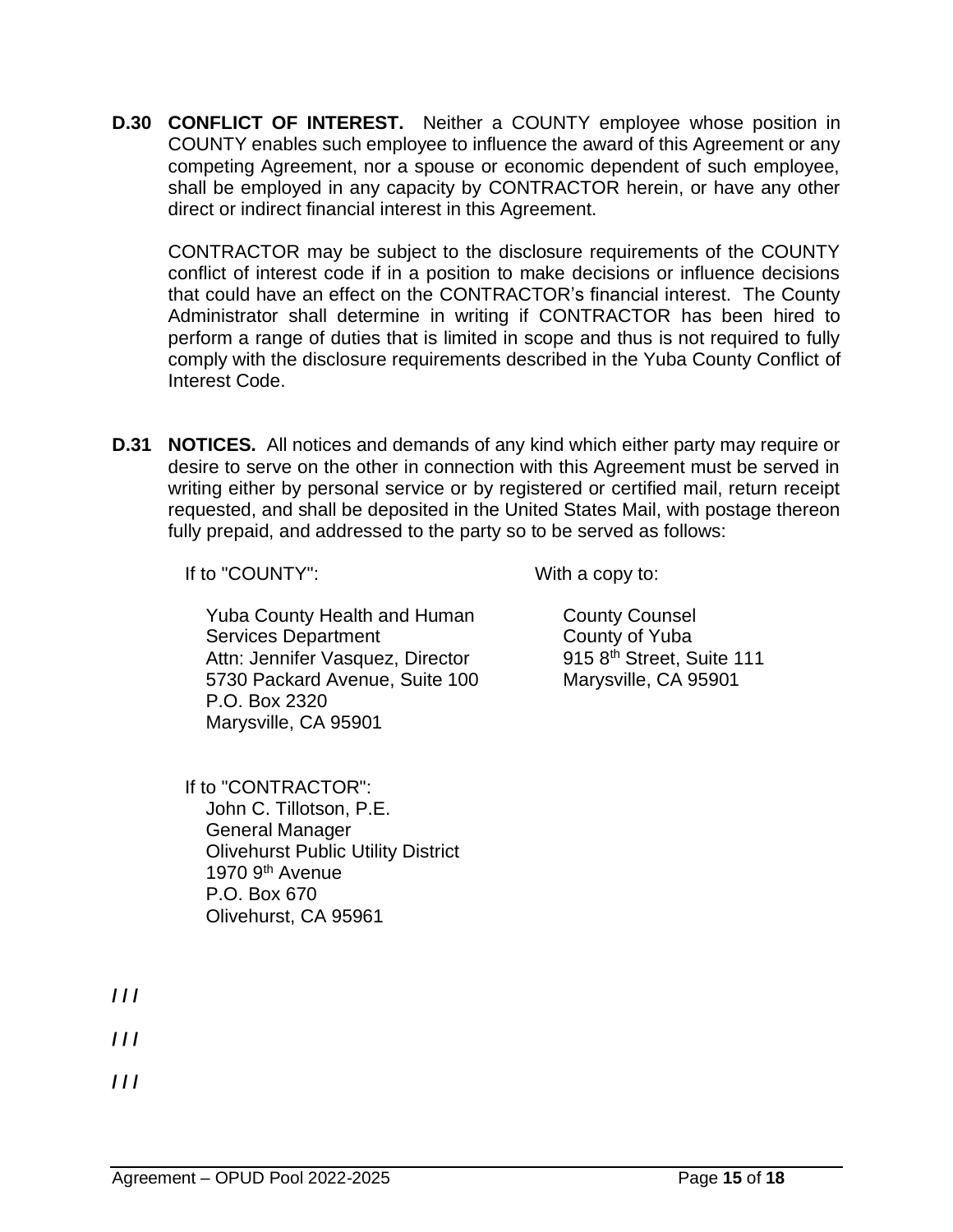**D.30 CONFLICT OF INTEREST.** Neither a COUNTY employee whose position in COUNTY enables such employee to influence the award of this Agreement or any competing Agreement, nor a spouse or economic dependent of such employee, shall be employed in any capacity by CONTRACTOR herein, or have any other direct or indirect financial interest in this Agreement.

CONTRACTOR may be subject to the disclosure requirements of the COUNTY conflict of interest code if in a position to make decisions or influence decisions that could have an effect on the CONTRACTOR's financial interest. The County Administrator shall determine in writing if CONTRACTOR has been hired to perform a range of duties that is limited in scope and thus is not required to fully comply with the disclosure requirements described in the Yuba County Conflict of Interest Code.

**D.31 NOTICES.** All notices and demands of any kind which either party may require or desire to serve on the other in connection with this Agreement must be served in writing either by personal service or by registered or certified mail, return receipt requested, and shall be deposited in the United States Mail, with postage thereon fully prepaid, and addressed to the party so to be served as follows:

If to "COUNTY": With a copy to:

Yuba County Health and Human Services Department Attn: Jennifer Vasquez, Director 5730 Packard Avenue, Suite 100 P.O. Box 2320 Marysville, CA 95901

County Counsel County of Yuba 915 8<sup>th</sup> Street, Suite 111 Marysville, CA 95901

If to "CONTRACTOR": John C. Tillotson, P.E. General Manager Olivehurst Public Utility District 1970 9<sup>th</sup> Avenue P.O. Box 670 Olivehurst, CA 95961

**/ / /**

**/ / /**

**/ / /**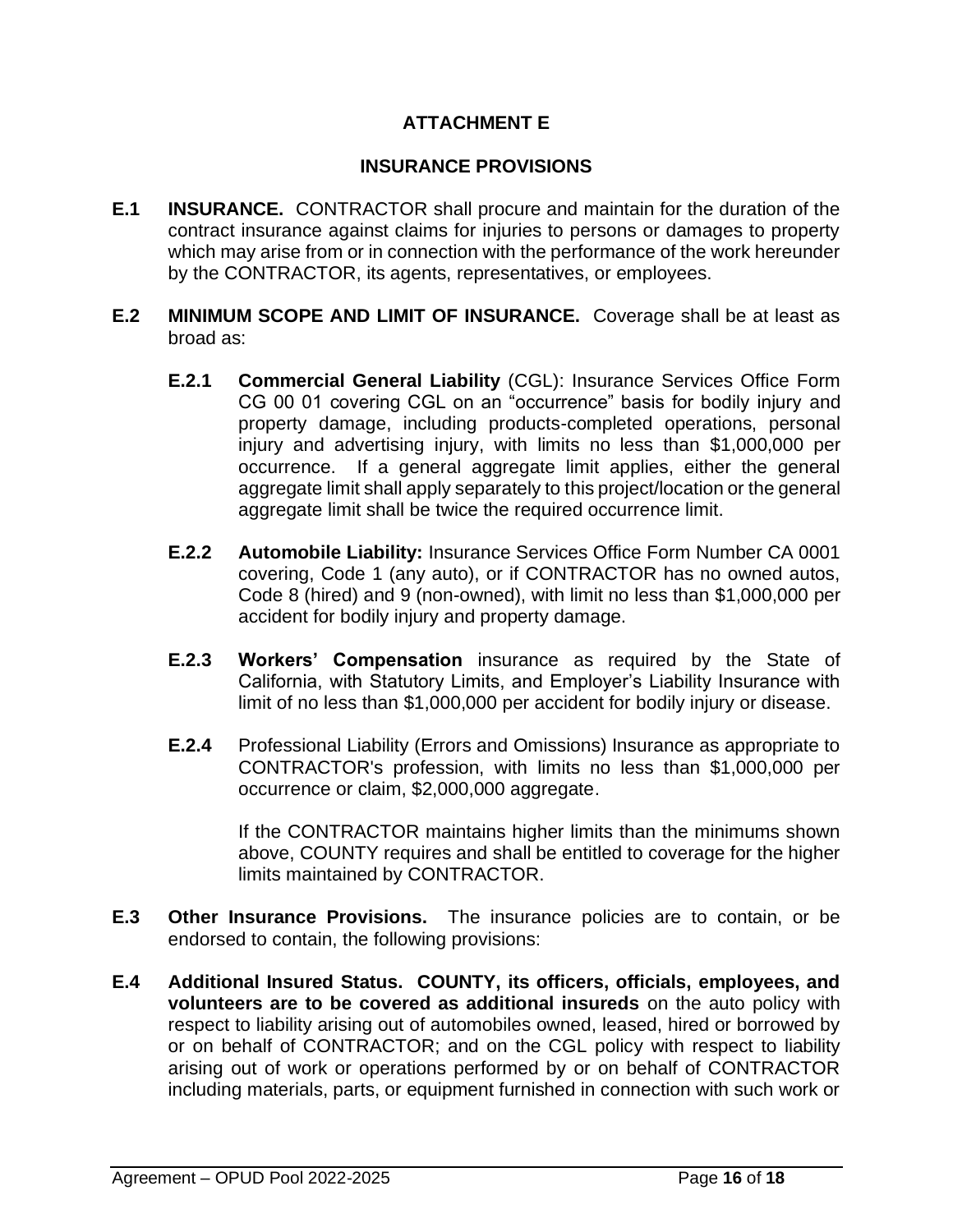## **ATTACHMENT E**

#### **INSURANCE PROVISIONS**

- **E.1 INSURANCE.** CONTRACTOR shall procure and maintain for the duration of the contract insurance against claims for injuries to persons or damages to property which may arise from or in connection with the performance of the work hereunder by the CONTRACTOR, its agents, representatives, or employees.
- **E.2 MINIMUM SCOPE AND LIMIT OF INSURANCE.** Coverage shall be at least as broad as:
	- **E.2.1 Commercial General Liability** (CGL): Insurance Services Office Form CG 00 01 covering CGL on an "occurrence" basis for bodily injury and property damage, including products-completed operations, personal injury and advertising injury, with limits no less than \$1,000,000 per occurrence. If a general aggregate limit applies, either the general aggregate limit shall apply separately to this project/location or the general aggregate limit shall be twice the required occurrence limit.
	- **E.2.2 Automobile Liability:** Insurance Services Office Form Number CA 0001 covering, Code 1 (any auto), or if CONTRACTOR has no owned autos, Code 8 (hired) and 9 (non-owned), with limit no less than \$1,000,000 per accident for bodily injury and property damage.
	- **E.2.3 Workers' Compensation** insurance as required by the State of California, with Statutory Limits, and Employer's Liability Insurance with limit of no less than \$1,000,000 per accident for bodily injury or disease.
	- **E.2.4** Professional Liability (Errors and Omissions) Insurance as appropriate to CONTRACTOR's profession, with limits no less than \$1,000,000 per occurrence or claim, \$2,000,000 aggregate.

If the CONTRACTOR maintains higher limits than the minimums shown above, COUNTY requires and shall be entitled to coverage for the higher limits maintained by CONTRACTOR.

- **E.3 Other Insurance Provisions.** The insurance policies are to contain, or be endorsed to contain, the following provisions:
- **E.4****Additional Insured Status. COUNTY, its officers, officials, employees, and volunteers are to be covered as additional insureds** on the auto policy with respect to liability arising out of automobiles owned, leased, hired or borrowed by or on behalf of CONTRACTOR; and on the CGL policy with respect to liability arising out of work or operations performed by or on behalf of CONTRACTOR including materials, parts, or equipment furnished in connection with such work or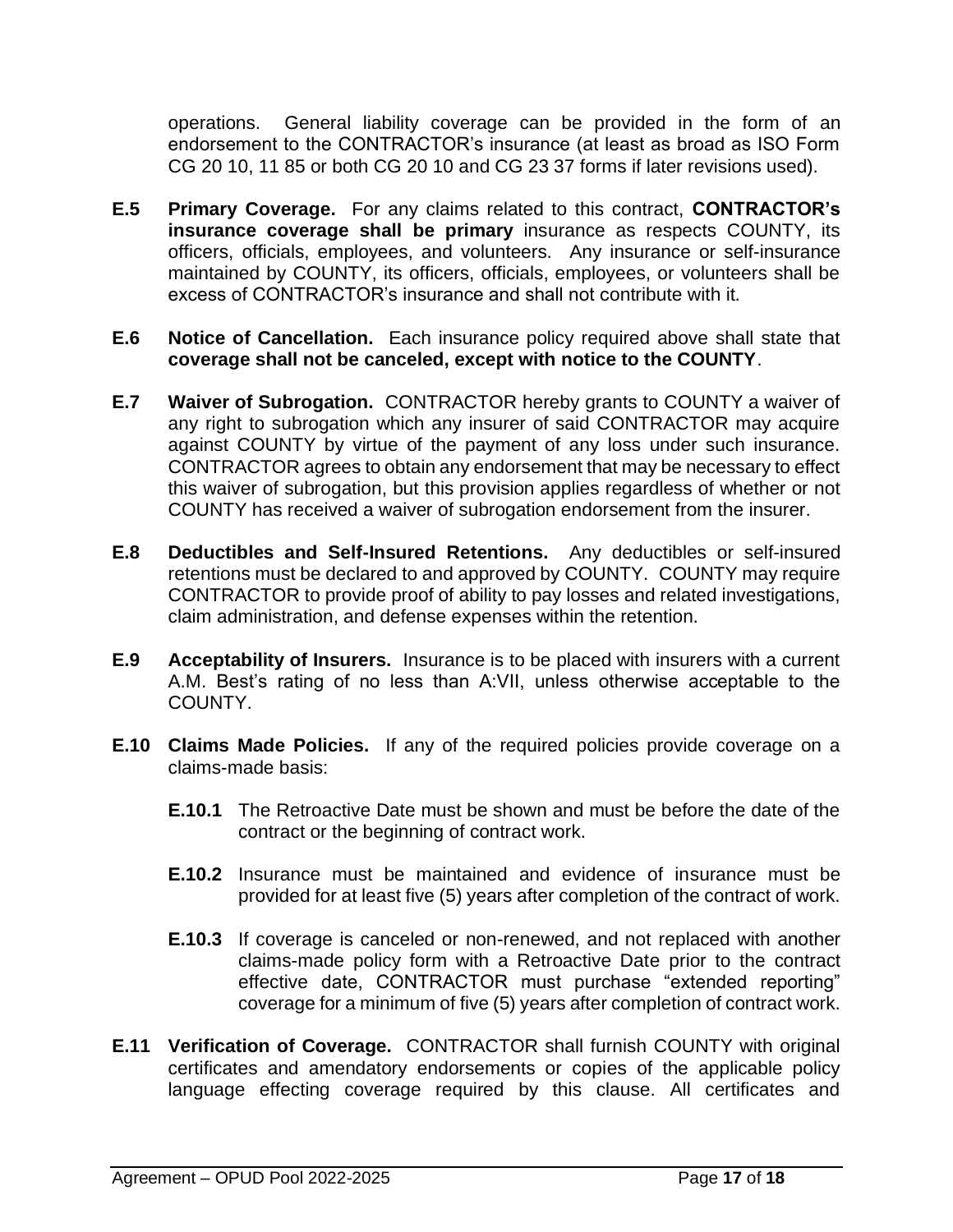operations. General liability coverage can be provided in the form of an endorsement to the CONTRACTOR's insurance (at least as broad as ISO Form CG 20 10, 11 85 or both CG 20 10 and CG 23 37 forms if later revisions used).

- **E.5 Primary Coverage.** For any claims related to this contract, **CONTRACTOR's insurance coverage shall be primary** insurance as respects COUNTY, its officers, officials, employees, and volunteers. Any insurance or self-insurance maintained by COUNTY, its officers, officials, employees, or volunteers shall be excess of CONTRACTOR's insurance and shall not contribute with it.
- **E.6 Notice of Cancellation.** Each insurance policy required above shall state that **coverage shall not be canceled, except with notice to the COUNTY**.
- **E.7 Waiver of Subrogation.**CONTRACTOR hereby grants to COUNTY a waiver of any right to subrogation which any insurer of said CONTRACTOR may acquire against COUNTY by virtue of the payment of any loss under such insurance. CONTRACTOR agrees to obtain any endorsement that may be necessary to effect this waiver of subrogation, but this provision applies regardless of whether or not COUNTY has received a waiver of subrogation endorsement from the insurer.
- **E.8 Deductibles and Self-Insured Retentions.**Any deductibles or self-insured retentions must be declared to and approved by COUNTY. COUNTY may require CONTRACTOR to provide proof of ability to pay losses and related investigations, claim administration, and defense expenses within the retention.
- **E.9 Acceptability of Insurers.**Insurance is to be placed with insurers with a current A.M. Best's rating of no less than A:VII, unless otherwise acceptable to the COUNTY.
- **E.10 Claims Made Policies.** If any of the required policies provide coverage on a claims-made basis:
	- **E.10.1** The Retroactive Date must be shown and must be before the date of the contract or the beginning of contract work.
	- **E.10.2** Insurance must be maintained and evidence of insurance must be provided for at least five (5) years after completion of the contract of work.
	- **E.10.3** If coverage is canceled or non-renewed, and not replaced with another claims-made policy form with a Retroactive Date prior to the contract effective date, CONTRACTOR must purchase "extended reporting" coverage for a minimum of five (5) years after completion of contract work.
- **E.11 Verification of Coverage.** CONTRACTOR shall furnish COUNTY with original certificates and amendatory endorsements or copies of the applicable policy language effecting coverage required by this clause. All certificates and